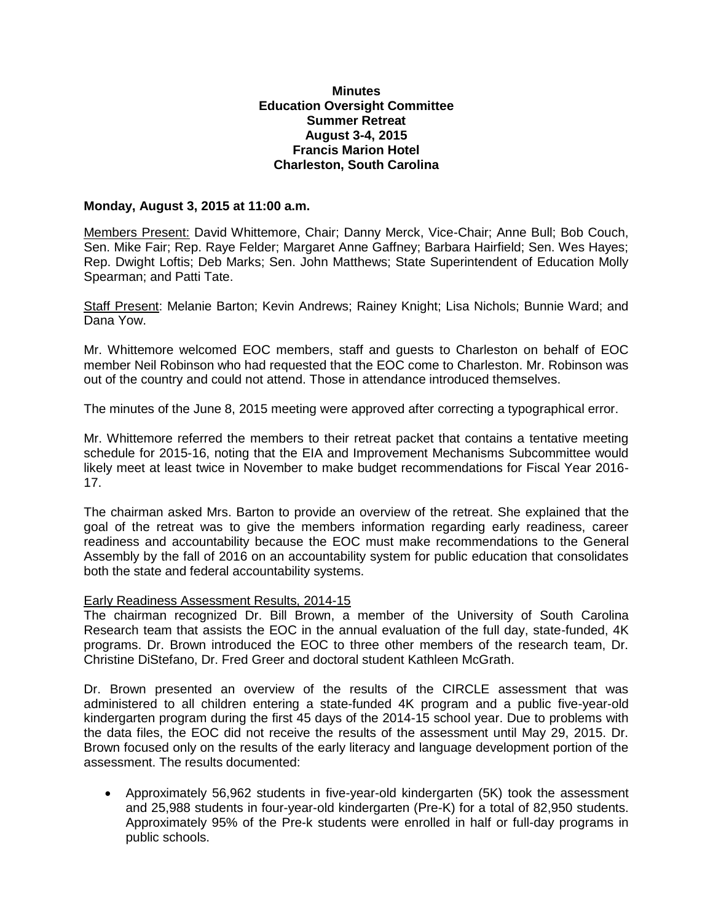## **Minutes Education Oversight Committee Summer Retreat August 3-4, 2015 Francis Marion Hotel Charleston, South Carolina**

## **Monday, August 3, 2015 at 11:00 a.m.**

Members Present: David Whittemore, Chair; Danny Merck, Vice-Chair; Anne Bull; Bob Couch, Sen. Mike Fair; Rep. Raye Felder; Margaret Anne Gaffney; Barbara Hairfield; Sen. Wes Hayes; Rep. Dwight Loftis; Deb Marks; Sen. John Matthews; State Superintendent of Education Molly Spearman; and Patti Tate.

Staff Present: Melanie Barton; Kevin Andrews; Rainey Knight; Lisa Nichols; Bunnie Ward; and Dana Yow.

Mr. Whittemore welcomed EOC members, staff and guests to Charleston on behalf of EOC member Neil Robinson who had requested that the EOC come to Charleston. Mr. Robinson was out of the country and could not attend. Those in attendance introduced themselves.

The minutes of the June 8, 2015 meeting were approved after correcting a typographical error.

Mr. Whittemore referred the members to their retreat packet that contains a tentative meeting schedule for 2015-16, noting that the EIA and Improvement Mechanisms Subcommittee would likely meet at least twice in November to make budget recommendations for Fiscal Year 2016- 17.

The chairman asked Mrs. Barton to provide an overview of the retreat. She explained that the goal of the retreat was to give the members information regarding early readiness, career readiness and accountability because the EOC must make recommendations to the General Assembly by the fall of 2016 on an accountability system for public education that consolidates both the state and federal accountability systems.

## Early Readiness Assessment Results, 2014-15

The chairman recognized Dr. Bill Brown, a member of the University of South Carolina Research team that assists the EOC in the annual evaluation of the full day, state-funded, 4K programs. Dr. Brown introduced the EOC to three other members of the research team, Dr. Christine DiStefano, Dr. Fred Greer and doctoral student Kathleen McGrath.

Dr. Brown presented an overview of the results of the CIRCLE assessment that was administered to all children entering a state-funded 4K program and a public five-year-old kindergarten program during the first 45 days of the 2014-15 school year. Due to problems with the data files, the EOC did not receive the results of the assessment until May 29, 2015. Dr. Brown focused only on the results of the early literacy and language development portion of the assessment. The results documented:

 Approximately 56,962 students in five-year-old kindergarten (5K) took the assessment and 25,988 students in four-year-old kindergarten (Pre-K) for a total of 82,950 students. Approximately 95% of the Pre-k students were enrolled in half or full-day programs in public schools.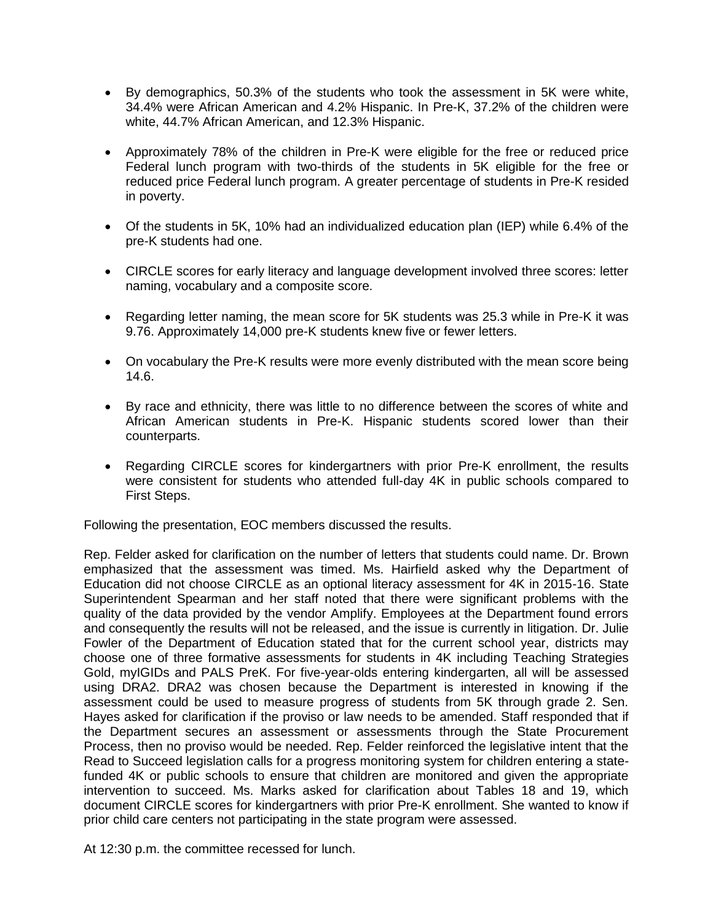- By demographics, 50.3% of the students who took the assessment in 5K were white, 34.4% were African American and 4.2% Hispanic. In Pre-K, 37.2% of the children were white, 44.7% African American, and 12.3% Hispanic.
- Approximately 78% of the children in Pre-K were eligible for the free or reduced price Federal lunch program with two-thirds of the students in 5K eligible for the free or reduced price Federal lunch program. A greater percentage of students in Pre-K resided in poverty.
- Of the students in 5K, 10% had an individualized education plan (IEP) while 6.4% of the pre-K students had one.
- CIRCLE scores for early literacy and language development involved three scores: letter naming, vocabulary and a composite score.
- Regarding letter naming, the mean score for 5K students was 25.3 while in Pre-K it was 9.76. Approximately 14,000 pre-K students knew five or fewer letters.
- On vocabulary the Pre-K results were more evenly distributed with the mean score being 14.6.
- By race and ethnicity, there was little to no difference between the scores of white and African American students in Pre-K. Hispanic students scored lower than their counterparts.
- Regarding CIRCLE scores for kindergartners with prior Pre-K enrollment, the results were consistent for students who attended full-day 4K in public schools compared to First Steps.

Following the presentation, EOC members discussed the results.

Rep. Felder asked for clarification on the number of letters that students could name. Dr. Brown emphasized that the assessment was timed. Ms. Hairfield asked why the Department of Education did not choose CIRCLE as an optional literacy assessment for 4K in 2015-16. State Superintendent Spearman and her staff noted that there were significant problems with the quality of the data provided by the vendor Amplify. Employees at the Department found errors and consequently the results will not be released, and the issue is currently in litigation. Dr. Julie Fowler of the Department of Education stated that for the current school year, districts may choose one of three formative assessments for students in 4K including Teaching Strategies Gold, myIGIDs and PALS PreK. For five-year-olds entering kindergarten, all will be assessed using DRA2. DRA2 was chosen because the Department is interested in knowing if the assessment could be used to measure progress of students from 5K through grade 2. Sen. Hayes asked for clarification if the proviso or law needs to be amended. Staff responded that if the Department secures an assessment or assessments through the State Procurement Process, then no proviso would be needed. Rep. Felder reinforced the legislative intent that the Read to Succeed legislation calls for a progress monitoring system for children entering a statefunded 4K or public schools to ensure that children are monitored and given the appropriate intervention to succeed. Ms. Marks asked for clarification about Tables 18 and 19, which document CIRCLE scores for kindergartners with prior Pre-K enrollment. She wanted to know if prior child care centers not participating in the state program were assessed.

At 12:30 p.m. the committee recessed for lunch.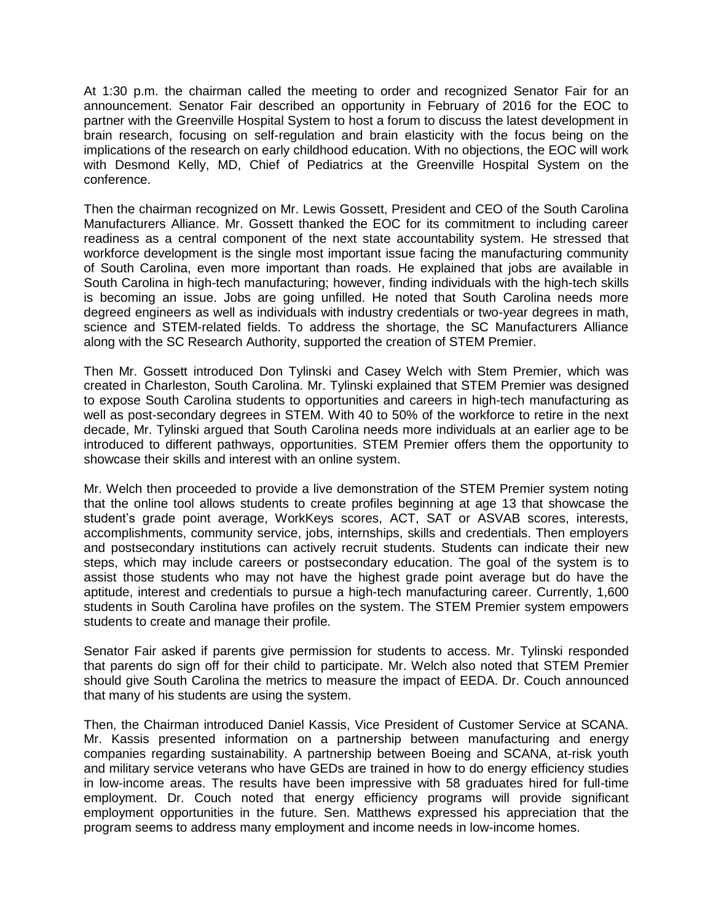At 1:30 p.m. the chairman called the meeting to order and recognized Senator Fair for an announcement. Senator Fair described an opportunity in February of 2016 for the EOC to partner with the Greenville Hospital System to host a forum to discuss the latest development in brain research, focusing on self-regulation and brain elasticity with the focus being on the implications of the research on early childhood education. With no objections, the EOC will work with Desmond Kelly, MD, Chief of Pediatrics at the Greenville Hospital System on the conference.

Then the chairman recognized on Mr. Lewis Gossett, President and CEO of the South Carolina Manufacturers Alliance. Mr. Gossett thanked the EOC for its commitment to including career readiness as a central component of the next state accountability system. He stressed that workforce development is the single most important issue facing the manufacturing community of South Carolina, even more important than roads. He explained that jobs are available in South Carolina in high-tech manufacturing; however, finding individuals with the high-tech skills is becoming an issue. Jobs are going unfilled. He noted that South Carolina needs more degreed engineers as well as individuals with industry credentials or two-year degrees in math, science and STEM-related fields. To address the shortage, the SC Manufacturers Alliance along with the SC Research Authority, supported the creation of STEM Premier.

Then Mr. Gossett introduced Don Tylinski and Casey Welch with Stem Premier, which was created in Charleston, South Carolina. Mr. Tylinski explained that STEM Premier was designed to expose South Carolina students to opportunities and careers in high-tech manufacturing as well as post-secondary degrees in STEM. With 40 to 50% of the workforce to retire in the next decade, Mr. Tylinski argued that South Carolina needs more individuals at an earlier age to be introduced to different pathways, opportunities. STEM Premier offers them the opportunity to showcase their skills and interest with an online system.

Mr. Welch then proceeded to provide a live demonstration of the STEM Premier system noting that the online tool allows students to create profiles beginning at age 13 that showcase the student's grade point average, WorkKeys scores, ACT, SAT or ASVAB scores, interests, accomplishments, community service, jobs, internships, skills and credentials. Then employers and postsecondary institutions can actively recruit students. Students can indicate their new steps, which may include careers or postsecondary education. The goal of the system is to assist those students who may not have the highest grade point average but do have the aptitude, interest and credentials to pursue a high-tech manufacturing career. Currently, 1,600 students in South Carolina have profiles on the system. The STEM Premier system empowers students to create and manage their profile.

Senator Fair asked if parents give permission for students to access. Mr. Tylinski responded that parents do sign off for their child to participate. Mr. Welch also noted that STEM Premier should give South Carolina the metrics to measure the impact of EEDA. Dr. Couch announced that many of his students are using the system.

Then, the Chairman introduced Daniel Kassis, Vice President of Customer Service at SCANA. Mr. Kassis presented information on a partnership between manufacturing and energy companies regarding sustainability. A partnership between Boeing and SCANA, at-risk youth and military service veterans who have GEDs are trained in how to do energy efficiency studies in low-income areas. The results have been impressive with 58 graduates hired for full-time employment. Dr. Couch noted that energy efficiency programs will provide significant employment opportunities in the future. Sen. Matthews expressed his appreciation that the program seems to address many employment and income needs in low-income homes.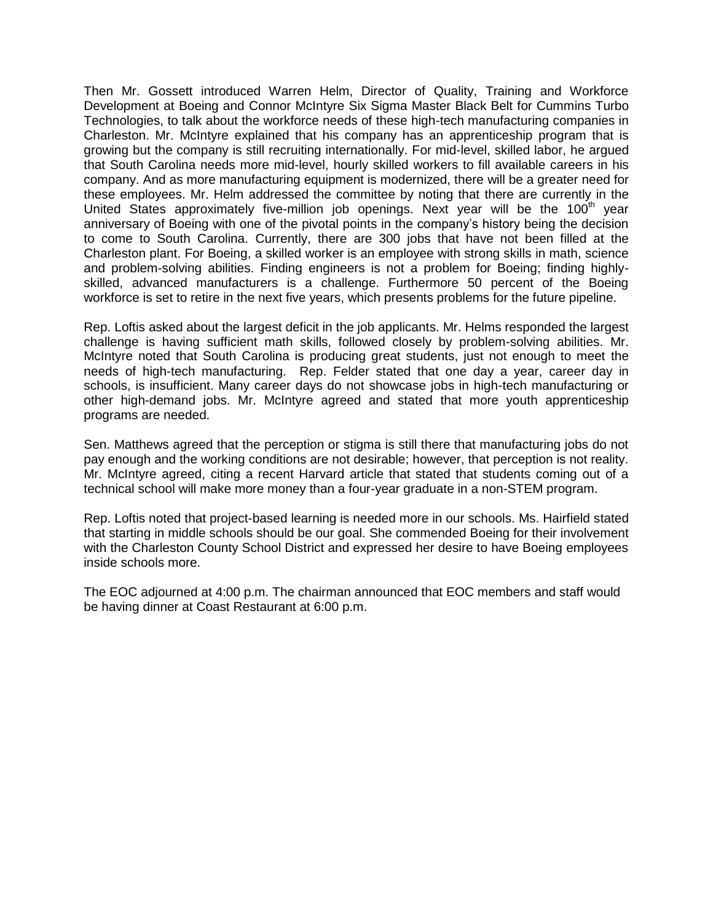Then Mr. Gossett introduced Warren Helm, Director of Quality, Training and Workforce Development at Boeing and Connor McIntyre Six Sigma Master Black Belt for Cummins Turbo Technologies, to talk about the workforce needs of these high-tech manufacturing companies in Charleston. Mr. McIntyre explained that his company has an apprenticeship program that is growing but the company is still recruiting internationally. For mid-level, skilled labor, he argued that South Carolina needs more mid-level, hourly skilled workers to fill available careers in his company. And as more manufacturing equipment is modernized, there will be a greater need for these employees. Mr. Helm addressed the committee by noting that there are currently in the United States approximately five-million job openings. Next year will be the  $100<sup>th</sup>$  year anniversary of Boeing with one of the pivotal points in the company's history being the decision to come to South Carolina. Currently, there are 300 jobs that have not been filled at the Charleston plant. For Boeing, a skilled worker is an employee with strong skills in math, science and problem-solving abilities. Finding engineers is not a problem for Boeing; finding highlyskilled, advanced manufacturers is a challenge. Furthermore 50 percent of the Boeing workforce is set to retire in the next five years, which presents problems for the future pipeline.

Rep. Loftis asked about the largest deficit in the job applicants. Mr. Helms responded the largest challenge is having sufficient math skills, followed closely by problem-solving abilities. Mr. McIntyre noted that South Carolina is producing great students, just not enough to meet the needs of high-tech manufacturing. Rep. Felder stated that one day a year, career day in schools, is insufficient. Many career days do not showcase jobs in high-tech manufacturing or other high-demand jobs. Mr. McIntyre agreed and stated that more youth apprenticeship programs are needed.

Sen. Matthews agreed that the perception or stigma is still there that manufacturing jobs do not pay enough and the working conditions are not desirable; however, that perception is not reality. Mr. McIntyre agreed, citing a recent Harvard article that stated that students coming out of a technical school will make more money than a four-year graduate in a non-STEM program.

Rep. Loftis noted that project-based learning is needed more in our schools. Ms. Hairfield stated that starting in middle schools should be our goal. She commended Boeing for their involvement with the Charleston County School District and expressed her desire to have Boeing employees inside schools more.

The EOC adjourned at 4:00 p.m. The chairman announced that EOC members and staff would be having dinner at Coast Restaurant at 6:00 p.m.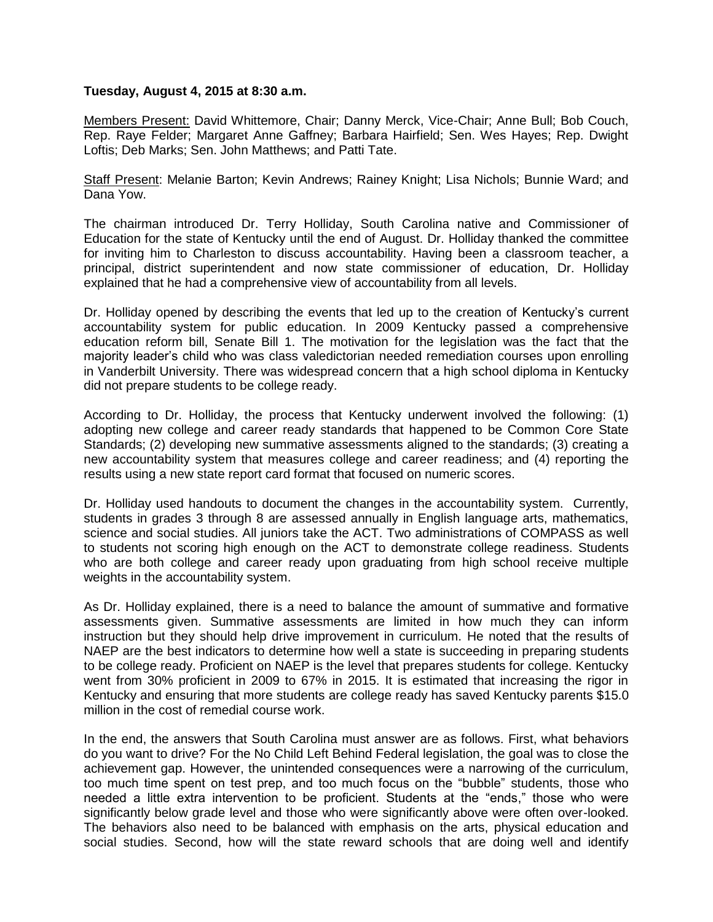## **Tuesday, August 4, 2015 at 8:30 a.m.**

Members Present: David Whittemore, Chair; Danny Merck, Vice-Chair; Anne Bull; Bob Couch, Rep. Raye Felder; Margaret Anne Gaffney; Barbara Hairfield; Sen. Wes Hayes; Rep. Dwight Loftis; Deb Marks; Sen. John Matthews; and Patti Tate.

Staff Present: Melanie Barton; Kevin Andrews; Rainey Knight; Lisa Nichols; Bunnie Ward; and Dana Yow.

The chairman introduced Dr. Terry Holliday, South Carolina native and Commissioner of Education for the state of Kentucky until the end of August. Dr. Holliday thanked the committee for inviting him to Charleston to discuss accountability. Having been a classroom teacher, a principal, district superintendent and now state commissioner of education, Dr. Holliday explained that he had a comprehensive view of accountability from all levels.

Dr. Holliday opened by describing the events that led up to the creation of Kentucky's current accountability system for public education. In 2009 Kentucky passed a comprehensive education reform bill, Senate Bill 1. The motivation for the legislation was the fact that the majority leader's child who was class valedictorian needed remediation courses upon enrolling in Vanderbilt University. There was widespread concern that a high school diploma in Kentucky did not prepare students to be college ready.

According to Dr. Holliday, the process that Kentucky underwent involved the following: (1) adopting new college and career ready standards that happened to be Common Core State Standards; (2) developing new summative assessments aligned to the standards; (3) creating a new accountability system that measures college and career readiness; and (4) reporting the results using a new state report card format that focused on numeric scores.

Dr. Holliday used handouts to document the changes in the accountability system. Currently, students in grades 3 through 8 are assessed annually in English language arts, mathematics, science and social studies. All juniors take the ACT. Two administrations of COMPASS as well to students not scoring high enough on the ACT to demonstrate college readiness. Students who are both college and career ready upon graduating from high school receive multiple weights in the accountability system.

As Dr. Holliday explained, there is a need to balance the amount of summative and formative assessments given. Summative assessments are limited in how much they can inform instruction but they should help drive improvement in curriculum. He noted that the results of NAEP are the best indicators to determine how well a state is succeeding in preparing students to be college ready. Proficient on NAEP is the level that prepares students for college. Kentucky went from 30% proficient in 2009 to 67% in 2015. It is estimated that increasing the rigor in Kentucky and ensuring that more students are college ready has saved Kentucky parents \$15.0 million in the cost of remedial course work.

In the end, the answers that South Carolina must answer are as follows. First, what behaviors do you want to drive? For the No Child Left Behind Federal legislation, the goal was to close the achievement gap. However, the unintended consequences were a narrowing of the curriculum, too much time spent on test prep, and too much focus on the "bubble" students, those who needed a little extra intervention to be proficient. Students at the "ends," those who were significantly below grade level and those who were significantly above were often over-looked. The behaviors also need to be balanced with emphasis on the arts, physical education and social studies. Second, how will the state reward schools that are doing well and identify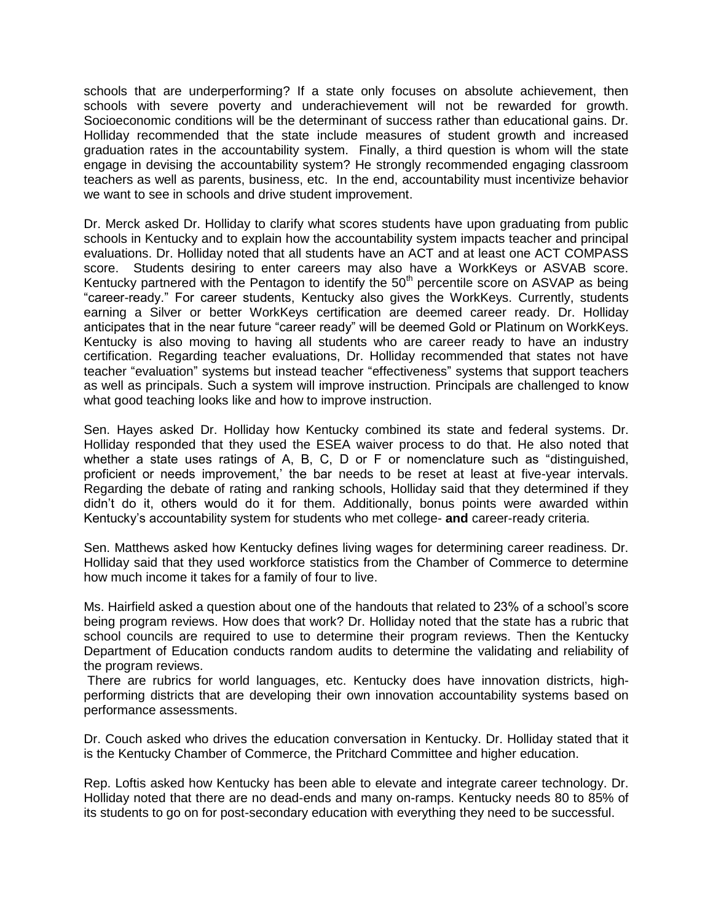schools that are underperforming? If a state only focuses on absolute achievement, then schools with severe poverty and underachievement will not be rewarded for growth. Socioeconomic conditions will be the determinant of success rather than educational gains. Dr. Holliday recommended that the state include measures of student growth and increased graduation rates in the accountability system. Finally, a third question is whom will the state engage in devising the accountability system? He strongly recommended engaging classroom teachers as well as parents, business, etc. In the end, accountability must incentivize behavior we want to see in schools and drive student improvement.

Dr. Merck asked Dr. Holliday to clarify what scores students have upon graduating from public schools in Kentucky and to explain how the accountability system impacts teacher and principal evaluations. Dr. Holliday noted that all students have an ACT and at least one ACT COMPASS score. Students desiring to enter careers may also have a WorkKeys or ASVAB score. Kentucky partnered with the Pentagon to identify the  $50<sup>th</sup>$  percentile score on ASVAP as being "career-ready." For career students, Kentucky also gives the WorkKeys. Currently, students earning a Silver or better WorkKeys certification are deemed career ready. Dr. Holliday anticipates that in the near future "career ready" will be deemed Gold or Platinum on WorkKeys. Kentucky is also moving to having all students who are career ready to have an industry certification. Regarding teacher evaluations, Dr. Holliday recommended that states not have teacher "evaluation" systems but instead teacher "effectiveness" systems that support teachers as well as principals. Such a system will improve instruction. Principals are challenged to know what good teaching looks like and how to improve instruction.

Sen. Hayes asked Dr. Holliday how Kentucky combined its state and federal systems. Dr. Holliday responded that they used the ESEA waiver process to do that. He also noted that whether a state uses ratings of A, B, C, D or F or nomenclature such as "distinguished, proficient or needs improvement,' the bar needs to be reset at least at five-year intervals. Regarding the debate of rating and ranking schools, Holliday said that they determined if they didn't do it, others would do it for them. Additionally, bonus points were awarded within Kentucky's accountability system for students who met college- **and** career-ready criteria.

Sen. Matthews asked how Kentucky defines living wages for determining career readiness. Dr. Holliday said that they used workforce statistics from the Chamber of Commerce to determine how much income it takes for a family of four to live.

Ms. Hairfield asked a question about one of the handouts that related to 23% of a school's score being program reviews. How does that work? Dr. Holliday noted that the state has a rubric that school councils are required to use to determine their program reviews. Then the Kentucky Department of Education conducts random audits to determine the validating and reliability of the program reviews.

There are rubrics for world languages, etc. Kentucky does have innovation districts, highperforming districts that are developing their own innovation accountability systems based on performance assessments.

Dr. Couch asked who drives the education conversation in Kentucky. Dr. Holliday stated that it is the Kentucky Chamber of Commerce, the Pritchard Committee and higher education.

Rep. Loftis asked how Kentucky has been able to elevate and integrate career technology. Dr. Holliday noted that there are no dead-ends and many on-ramps. Kentucky needs 80 to 85% of its students to go on for post-secondary education with everything they need to be successful.